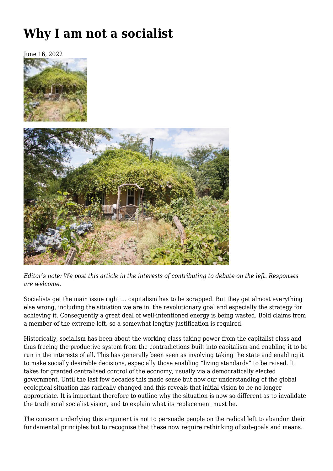# **[Why I am not a socialist](https://newpol.org/why-i-am-not-a-socialist/)**

June 16, 2022





*Editor's note: We post this article in the interests of contributing to debate on the left. Responses are welcome.*

Socialists get the main issue right … capitalism has to be scrapped. But they get almost everything else wrong, including the situation we are in, the revolutionary goal and especially the strategy for achieving it. Consequently a great deal of well-intentioned energy is being wasted. Bold claims from a member of the extreme left, so a somewhat lengthy justification is required.

Historically, socialism has been about the working class taking power from the capitalist class and thus freeing the productive system from the contradictions built into capitalism and enabling it to be run in the interests of all. This has generally been seen as involving taking the state and enabling it to make socially desirable decisions, especially those enabling "living standards" to be raised. It takes for granted centralised control of the economy, usually via a democratically elected government. Until the last few decades this made sense but now our understanding of the global ecological situation has radically changed and this reveals that initial vision to be no longer appropriate. It is important therefore to outline why the situation is now so different as to invalidate the traditional socialist vision, and to explain what its replacement must be.

The concern underlying this argument is not to persuade people on the radical left to abandon their fundamental principles but to recognise that these now require rethinking of sub-goals and means.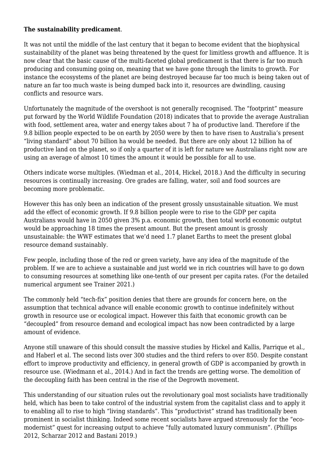### **The sustainability predicament**.

It was not until the middle of the last century that it began to become evident that the biophysical sustainability of the planet was being threatened by the quest for limitless growth and affluence. It is now clear that the basic cause of the multi-faceted global predicament is that there is far too much producing and consuming going on, meaning that we have gone through the limits to growth. For instance the ecosystems of the planet are being destroyed because far too much is being taken out of nature an far too much waste is being dumped back into it, resources are dwindling, causing conflicts and resource wars.

Unfortunately the magnitude of the overshoot is not generally recognised. The "footprint" measure put forward by the World Wildlife Foundation (2018) indicates that to provide the average Australian with food, settlement area, water and energy takes about 7 ha of productive land. Therefore if the 9.8 billion people expected to be on earth by 2050 were by then to have risen to Australia's present "living standard" about 70 billion ha would be needed. But there are only about 12 billion ha of productive land on the planet, so if only a quarter of it is left for nature we Australians right now are using an average of almost 10 times the amount it would be possible for all to use.

Others indicate worse multiples. (Wiedman et al., 2014, Hickel, 2018.) And the difficulty in securing resources is continually increasing. Ore grades are falling, water, soil and food sources are becoming more problematic.

However this has only been an indication of the present grossly unsustainable situation. We must add the effect of economic growth. If 9.8 billion people were to rise to the GDP per capita Australians would have in 2050 given 3% p.a. economic growth, then total world economic outptut would be approaching 18 times the present amount. But the present amount is grossly unsustainable: the WWF estimates that we'd need 1.7 planet Earths to meet the present global resource demand sustainably.

Few people, including those of the red or green variety, have any idea of the magnitude of the problem. If we are to achieve a sustainable and just world we in rich countries will have to go down to consuming resources at something like one-tenth of our present per capita rates. (For the detailed numerical argument see Trainer 2021.)

The commonly held "tech-fix" position denies that there are grounds for concern here, on the assumption that technical advance will enable economic growth to continue indefinitely without growth in resource use or ecological impact. However this faith that economic growth can be "decoupled" from resource demand and ecological impact has now been contradicted by a large amount of evidence.

Anyone still unaware of this should consult the massive studies by Hickel and Kallis, Parrique et al., and Haberl et al. The second lists over 300 studies and the third refers to over 850. Despite constant effort to improve productivity and efficiency, in general growth of GDP is accompanied by growth in resource use. (Wiedmann et al., 2014.) And in fact the trends are getting worse. The demolition of the decoupling faith has been central in the rise of the Degrowth movement.

This understanding of our situation rules out the revolutionary goal most socialists have traditionally held, which has been to take control of the industrial system from the capitalist class and to apply it to enabling all to rise to high "living standards". This "productivist" strand has traditionally been prominent in socialist thinking. Indeed some recent socialists have argued strenuously for the "ecomodernist" quest for increasing output to achieve "fully automated luxury communism". (Phillips 2012, Scharzar 2012 and Bastani 2019.)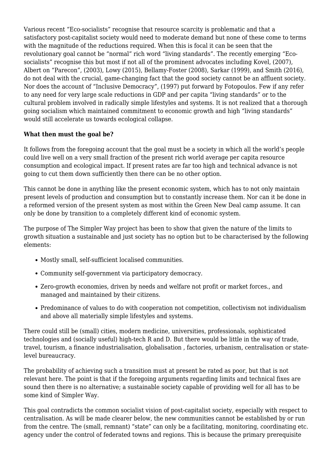Various recent "Eco-socialists" recognise that resource scarcity is problematic and that a satisfactory post-capitalist society would need to moderate demand but none of these come to terms with the magnitude of the reductions required. When this is focal it can be seen that the revolutionary goal cannot be "normal" rich word "living standards". The recently emerging "Ecosocialists" recognise this but most if not all of the prominent advocates including Kovel, (2007), Albert on "Parecon", (2003), Lowy (2015), Bellamy-Foster (2008), Sarkar (1999), and Smith (2016), do not deal with the crucial, game-changing fact that the good society cannot be an affluent society. Nor does the account of "Inclusive Democracy", (1997) put forward by Fotopoulos. Few if any refer to any need for very large scale reductions in GDP and per capita "living standards" or to the cultural problem involved in radically simple lifestyles and systems. It is not realized that a thorough going socialism which maintained commitment to economic growth and high "living standards" would still accelerate us towards ecological collapse.

## **What then must the goal be?**

It follows from the foregoing account that the goal must be a society in which all the world's people could live well on a very small fraction of the present rich world average per capita resource consumption and ecological impact. If present rates are far too high and technical advance is not going to cut them down sufficiently then there can be no other option.

This cannot be done in anything like the present economic system, which has to not only maintain present levels of production and consumption but to constantly increase them. Nor can it be done in a reformed version of the present system as most within the Green New Deal camp assume. It can only be done by transition to a completely different kind of economic system.

The purpose of The Simpler Way project has been to show that given the nature of the limits to growth situation a sustainable and just society has no option but to be characterised by the following elements:

- Mostly small, self-sufficient localised communities.
- Community self-government via participatory democracy.
- Zero-growth economies, driven by needs and welfare not profit or market forces., and managed and maintained by their citizens.
- Predominance of values to do with cooperation not competition, collectivism not individualism and above all materially simple lifestyles and systems.

There could still be (small) cities, modern medicine, universities, professionals, sophisticated technologies and (socially useful) high-tech R and D. But there would be little in the way of trade, travel, tourism, a finance industrialisation, globalisation , factories, urbanism, centralisation or statelevel bureaucracy.

The probability of achieving such a transition must at present be rated as poor, but that is not relevant here. The point is that if the foregoing arguments regarding limits and technical fixes are sound then there is no alternative; a sustainable society capable of providing well for all has to be some kind of Simpler Way.

This goal contradicts the common socialist vision of post-capitalist society, especially with respect to centralisation. As will be made clearer below, the new communities cannot be established by or run from the centre. The (small, remnant) "state" can only be a facilitating, monitoring, coordinating etc. agency under the control of federated towns and regions. This is because the primary prerequisite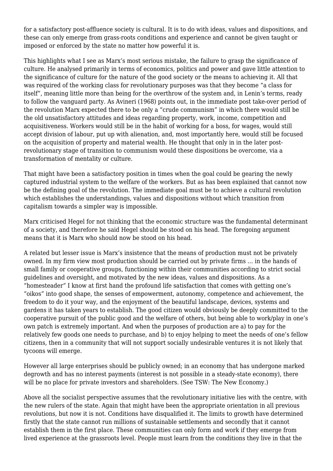for a satisfactory post-affluence society is cultural. It is to do with ideas, values and dispositions, and these can only emerge from grass-roots conditions and experience and cannot be given taught or imposed or enforced by the state no matter how powerful it is.

This highlights what I see as Marx's most serious mistake, the failure to grasp the significance of culture. He analysed primarily in terms of economics, politics and power and gave little attention to the significance of culture for the nature of the good society or the means to achieving it. All that was required of the working class for revolutionary purposes was that they become "a class for itself", meaning little more than being for the overthrow of the system and, in Lenin's terms, ready to follow the vanguard party. As Avineri (1968) points out, in the immediate post take-over period of the revolution Marx expected there to be only a "crude communism" in which there would still be the old unsatisfactory attitudes and ideas regarding property, work, income, competition and acquisitiveness. Workers would still be in the habit of working for a boss, for wages, would still accept division of labour, put up with alienation, and, most importantly here, would still be focused on the acquisition of property and material wealth. He thought that only in in the later postrevolutionary stage of transition to communism would these dispositions be overcome, via a transformation of mentality or culture.

That might have been a satisfactory position in times when the goal could be gearing the newly captured industrial system to the welfare of the workers. But as has been explained that cannot now be the defining goal of the revolution. The immediate goal must be to achieve a cultural revolution which establishes the understandings, values and dispositions without which transition from capitalism towards a simpler way is impossible.

Marx criticised Hegel for not thinking that the economic structure was the fundamental determinant of a society, and therefore he said Hegel should be stood on his head. The foregoing argument means that it is Marx who should now be stood on his head.

A related but lesser issue is Marx's insistence that the means of production must not be privately owned. In my firm view most production should be carried out by private firms … in the hands of small family or cooperative groups, functioning within their communities according to strict social guidelines and oversight, and motivated by the new ideas, values and dispositions. As a "homesteader" I know at first hand the profound life satisfaction that comes with getting one's "oikos" into good shape, the senses of empowerment, autonomy, competence and achievement, the freedom to do it your way, and the enjoyment of the beautiful landscape, devices, systems and gardens it has taken years to establish. The good citizen would obviously be deeply committed to the cooperative pursuit of the public good and the welfare of others, but being able to work/play in one's own patch is extremely important. And when the purposes of production are a) to pay for the relatively few goods one needs to purchase, and b) to enjoy helping to meet the needs of one's fellow citizens, then in a community that will not support socially undesirable ventures it is not likely that tycoons will emerge.

However all large enterprises should be publicly owned; in an economy that has undergone marked degrowth and has no interest payments (interest is not possible in a steady-state economy), there will be no place for private investors and shareholders. (See TSW: The New Economy.)

Above all the socialist perspective assumes that the revolutionary initiative lies with the centre, with the new rulers of the state. Again that might have been the appropriate orientation in all previous revolutions, but now it is not. Conditions have disqualified it. The limits to growth have determined firstly that the state cannot run millions of sustainable settlements and secondly that it cannot establish them in the first place. These communities can only form and work if they emerge from lived experience at the grassroots level. People must learn from the conditions they live in that the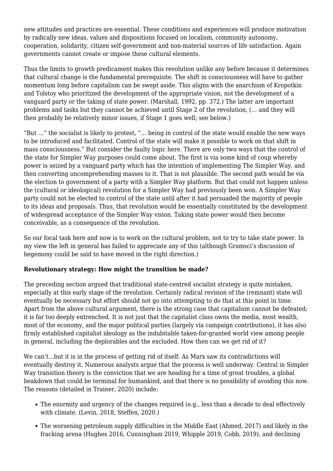new attitudes and practices are essential. These conditions and experiences will produce motivation by radically new ideas, values and dispositions focused on localism, community autonomy, cooperation, solidarity, citizen self-government and non-material sources of life satisfaction. Again governments cannot create or impose these cultural elements.

Thus the limits to growth predicament makes this revolution unlike any before because it determines that cultural change is the fundamental prerequisite. The shift in consciousness will have to gather momentum long before capitalism can be swept aside. This aligns with the anarchism of Kropotkin and Tolstoy who prioritized the development of the appropriate vision, not the development of a vanguard party or the taking of state power. (Marshall, 1992, pp. 372.) The latter are important problems and tasks but they cannot be achieved until Stage 2 of the revolution, (… and they will then probably be relatively minor issues, if Stage 1 goes well; see below.)

"But …" the socialist is likely to protest, "… being in control of the state would enable the new ways to be introduced and facilitated. Control of the state will make it possible to work on that shift in mass consciousness." But consider the faulty logic here. There are only two ways that the control of the state for Simpler Way purposes could come about. The first is via some kind of coup whereby power is seized by a vanguard party which has the intention of implementing The Simpler Way, and then converting uncomprehending masses to it. That is not plausible. The second path would be via the election to government of a party with a Simpler Way platform. But that could not happen unless the (cultural or ideological) revolution for a Simpler Way had previously been won. A Simpler Way party could not be elected to control of the state until after it had persuaded the majority of people to its ideas and proposals. Thus, that revolution would be essentially constituted by the development of widespread acceptance of the Simpler Way vision. Taking state power would then become conceivable, as a consequence of the revolution.

So our focal task here and now is to work on the cultural problem, not to try to take state power. In my view the left in general has failed to appreciate any of this (although Gramsci's discussion of hegemony could be said to have moved in the right direction.)

### **Revolutionary strategy: How might the transition be made?**

The preceding section argued that traditional state-centred socialist strategy is quite mistaken, especially at this early stage of the revolution. Certainly radical revision of the (remnant) state will eventually be necessary but effort should not go into attempting to do that at this point in time. Apart from the above cultural argument, there is the strong case that capitalism cannot be defeated; it is far too deeply entrenched. It is not just that the capitalist class owns the media, most wealth, most of the economy, and the major political parties (largely via campaign contributions), it has also firmly established capitalist ideology as the indubitable taken-for-granted world view among people in general, including the deplorables and the excluded. How then can we get rid of it?

We can't…but it is in the process of getting rid of itself. As Marx saw its contradictions will eventually destroy it. Numerous analysts argue that the process is well underway. Central in Simpler Way transition theory is the conviction that we are heading for a time of great troubles, a global beakdown that could be terminal for humankind, and that there is no possibility of avoiding this now. The reasons (detailed in Trainer, 2020) include:

- The enormity and urgency of the changes required (e.g., less than a decade to deal effectively with climate. (Levin, 2018, Steffen, 2020.)
- The worsening petroleum supply difficulties in the Middle East (Ahmed, 2017) and likely in the fracking arena (Hughes 2016, Cunningham 2019, Whipple 2019, Cobb, 2019), and declining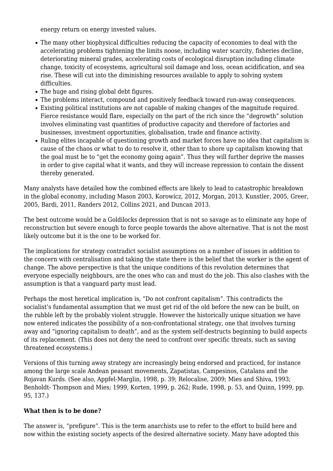energy return on energy invested values.

- The many other biophysical difficulties reducing the capacity of economies to deal with the accelerating problems tightening the limits noose, including water scarcity, fisheries decline, deteriorating mineral grades, accelerating costs of ecological disruption including climate change, toxicity of ecosystems, agricultural soil damage and loss, ocean acidification, and sea rise. These will cut into the diminishing resources available to apply to solving system difficulties.
- The huge and rising global debt figures.
- The problems interact, compound and positively feedback toward run-away consequences.
- Existing political institutions are not capable of making changes of the magnitude required. Fierce resistance would flare, especially on the part of the rich since the "degrowth" solution involves eliminating vast quantities of productive capacity and therefore of factories and businesses, investment opportunities, globalisation, trade and finance activity.
- Ruling elites incapable of questioning growth and market forces have no idea that capitalism is cause of the chaos or what to do to resolve it, other than to shore up capitalism knowing that the goal must be to "get the economy going again". Thus they will further deprive the masses in order to give capital what it wants, and they will increase repression to contain the dissent thereby generated.

Many analysts have detailed how the combined effects are likely to lead to catastrophic breakdown in the global economy, including Mason 2003, Korowicz, 2012, Morgan, 2013, Kunstler, 2005, Greer, 2005, Bardi, 2011, Randers 2012, Collins 2021, and Duncan 2013.

The best outcome would be a Goldilocks depression that is not so savage as to eliminate any hope of reconstruction but severe enough to force people towards the above alternative. That is not the most likely outcome but it is the one to be worked for.

The implications for strategy contradict socialist assumptions on a number of issues in addition to the concern with centralisation and taking the state there is the belief that the worker is the agent of change. The above perspective is that the unique conditions of this revolution determines that everyone especially neighbours, are the ones who can and must do the job. This also clashes with the assumption is that a vanguard party must lead.

Perhaps the most heretical implication is, "Do not confront capitalism". This contradicts the socialist's fundamental assumption that we must get rid of the old before the new can be built, on the rubble left by the probably violent struggle. However the historically unique situation we have now entered indicates the possibility of a non-confrontational strategy, one that involves turning away and "ignoring capitalism to death", and as the system self-destructs beginning to build aspects of its replacement. (This does not deny the need to confront over specific threats, such as saving threatened ecosystems.)

Versions of this turning away strategy are increasingly being endorsed and practiced, for instance among the large scale Andean peasant movements, Zapatistas, Campesinos, Catalans and the Rojavan Kurds. (See also, Appfel-Marglin, 1998, p. 39; Relocalise, 2009; Mies and Shiva, 1993; Benholdt- Thompson and Mies; 1999, Korten, 1999, p. 262; Rude, 1998, p. 53, and Quinn, 1999, pp. 95, 137.)

## **What then is to be done?**

The answer is, "prefigure". This is the term anarchists use to refer to the effort to build here and now within the existing society aspects of the desired alternative society. Many have adopted this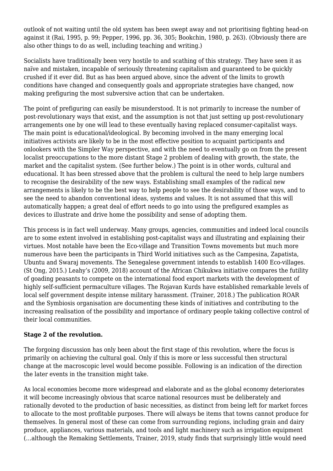outlook of not waiting until the old system has been swept away and not prioritising fighting head-on against it (Rai, 1995, p. 99; Pepper, 1996, pp. 36, 305; Bookchin, 1980, p. 263). (Obviously there are also other things to do as well, including teaching and writing.)

Socialists have traditionally been very hostile to and scathing of this strategy. They have seen it as naïve and mistaken, incapable of seriously threatening capitalism and guaranteed to be quickly crushed if it ever did. But as has been argued above, since the advent of the limits to growth conditions have changed and consequently goals and appropriate strategies have changed, now making prefiguring the most subversive action that can be undertaken.

The point of prefiguring can easily be misunderstood. It is not primarily to increase the number of post-revolutionary ways that exist, and the assumption is not that just setting up post-revolutionary arrangements one by one will lead to these eventually having replaced consumer-capitalist ways. The main point is educational/ideological. By becoming involved in the many emerging local initiatives activists are likely to be in the most effective position to acquaint participants and onlookers with the Simpler Way perspective, and with the need to eventually go on from the present localist preoccupations to the more distant Stage 2 problem of dealing with growth, the state, the market and the capitalist system. (See further below.) The point is in other words, cultural and educational. It has been stressed above that the problem is cultural the need to help large numbers to recognise the desirability of the new ways. Establishing small examples of the radical new arrangements is likely to be the best way to help people to see the desirability of those ways, and to see the need to abandon conventional ideas, systems and values. It is not assumed that this will automatically happen; a great deal of effort needs to go into using the prefigured examples as devices to illustrate and drive home the possibility and sense of adopting them.

This process is in fact well underway. Many groups, agencies, communities and indeed local councils are to some extent involved in establishing post-capitalist ways and illustrating and explaining their virtues. Most notable have been the Eco-village and Transition Towns movements but much more numerous have been the participants in Third World initiatives such as the Campesina, Zapatista, Ubuntu and Swaraj movements. The Senegalese government intends to establish 1400 Eco-villages. (St Ong, 2015.) Leahy's (2009, 2018) account of the African Chikukwa initiative compares the futility of goading peasants to compete on the international food export markets with the development of highly self-sufficient permaculture villages. The Rojavan Kurds have established remarkable levels of local self government despite intense military harassment. (Trainer, 2018.) The publication ROAR and the Symbiosis organisation are documenting these kinds of initiatives and contributing to the increasing realisation of the possibility and importance of ordinary people taking collective control of their local communities.

## **Stage 2 of the revolution.**

The forgoing discussion has only been about the first stage of this revolution, where the focus is primarily on achieving the cultural goal. Only if this is more or less successful then structural change at the macroscopic level would become possible. Following is an indication of the direction the later events in the transition might take.

As local economies become more widespread and elaborate and as the global economy deteriorates it will become increasingly obvious that scarce national resources must be deliberately and rationally devoted to the production of basic necessities, as distinct from being left for market forces to allocate to the most profitable purposes. There will always be items that towns cannot produce for themselves. In general most of these can come from surrounding regions, including grain and dairy produce, appliances, various materials, and tools and light machinery such as irrigation equipment (…although the Remaking Settlements, Trainer, 2019, study finds that surprisingly little would need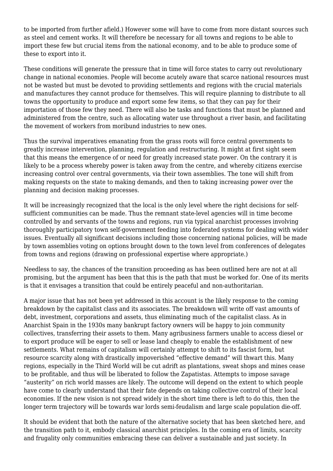to be imported from further afield.) However some will have to come from more distant sources such as steel and cement works. It will therefore be necessary for all towns and regions to be able to import these few but crucial items from the national economy, and to be able to produce some of these to export into it.

These conditions will generate the pressure that in time will force states to carry out revolutionary change in national economies. People will become acutely aware that scarce national resources must not be wasted but must be devoted to providing settlements and regions with the crucial materials and manufactures they cannot produce for themselves. This will require planning to distribute to all towns the opportunity to produce and export some few items, so that they can pay for their importation of those few they need. There will also be tasks and functions that must be planned and administered from the centre, such as allocating water use throughout a river basin, and facilitating the movement of workers from moribund industries to new ones.

Thus the survival imperatives emanating from the grass roots will force central governments to greatly increase intervention, planning, regulation and restructuring. It might at first sight seem that this means the emergence of or need for greatly increased state power. On the contrary it is likely to be a process whereby power is taken away from the centre, and whereby citizens exercise increasing control over central governments, via their town assemblies. The tone will shift from making requests on the state to making demands, and then to taking increasing power over the planning and decision making processes.

It will be increasingly recognized that the local is the only level where the right decisions for selfsufficient communities can be made. Thus the remnant state-level agencies will in time become controlled by and servants of the towns and regions, run via typical anarchist processes involving thoroughly participatory town self-government feeding into federated systems for dealing with wider issues. Eventually all significant decisions including those concerning national policies, will be made by town assemblies voting on options brought down to the town level from conferences of delegates from towns and regions (drawing on professional expertise where appropriate.)

Needless to say, the chances of the transition proceeding as has been outlined here are not at all promising, but the argument has been that this is the path that must be worked for. One of its merits is that it envisages a transition that could be entirely peaceful and non-authoritarian.

A major issue that has not been yet addressed in this account is the likely response to the coming breakdown by the capitalist class and its associates. The breakdown will write off vast amounts of debt, investment, corporations and assets, thus eliminating much of the capitalist class. As in Anarchist Spain in the 1930s many bankrupt factory owners will be happy to join community collectives, transferring their assets to them. Many agribusiness farmers unable to access diesel or to export produce will be eager to sell or lease land cheaply to enable the establishment of new settlements. What remains of capitalism will certainly attempt to shift to its fascist form, but resource scarcity along with drastically impoverished "effective demand" will thwart this. Many regions, especially in the Third World will be cut adrift as plantations, sweat shops and mines cease to be profitable, and thus will be liberated to follow the Zapatistas. Attempts to impose savage "austerity" on rich world masses are likely. The outcome will depend on the extent to which people have come to clearly understand that their fate depends on taking collective control of their local economies. If the new vision is not spread widely in the short time there is left to do this, then the longer term trajectory will be towards war lords semi-feudalism and large scale population die-off.

It should be evident that both the nature of the alternative society that has been sketched here, and the transition path to it, embody classical anarchist principles. In the coming era of limits, scarcity and frugality only communities embracing these can deliver a sustainable and just society. In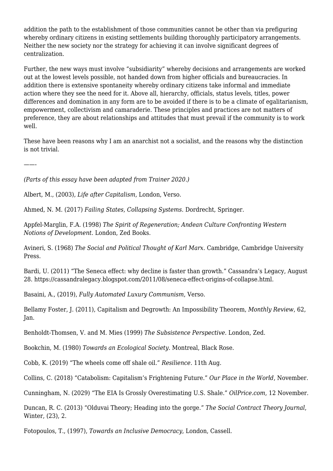addition the path to the establishment of those communities cannot be other than via prefiguring whereby ordinary citizens in existing settlements building thoroughly participatory arrangements. Neither the new society nor the strategy for achieving it can involve significant degrees of centralization.

Further, the new ways must involve "subsidiarity" whereby decisions and arrangements are worked out at the lowest levels possible, not handed down from higher officials and bureaucracies. In addition there is extensive spontaneity whereby ordinary citizens take informal and immediate action where they see the need for it. Above all, hierarchy, officials, status levels, titles, power differences and domination in any form are to be avoided if there is to be a climate of egalitarianism, empowerment, collectivism and camaraderie. These principles and practices are not matters of preference, they are about relationships and attitudes that must prevail if the community is to work well.

These have been reasons why I am an anarchist not a socialist, and the reasons why the distinction is not trivial.

——-

*(Parts of this essay have been adapted from Trainer 2020.)*

Albert, M., (2003), *Life after Capitalism*, London, Verso.

Ahmed, N. M. (2017) *Failing States, Collapsing Systems*. Dordrecht, Springer.

Appfel-Marglin, F.A. (1998) *The Spirit of Regeneration; Andean Culture Confronting Western Notions of Development*. London, Zed Books.

Avineri, S. (1968) *The Social and Political Thought of Karl Marx*. Cambridge, Cambridge University Press.

Bardi, U. (2011) "The Seneca effect: why decline is faster than growth." Cassandra's Legacy, August 28. https://cassandralegacy.blogspot.com/2011/08/seneca-effect-origins-of-collapse.html.

Basaini, A., (2019), *Fully Automated Luxury Communism*, Verso.

Bellamy Foster, J. (2011), Capitalism and Degrowth: An Impossibility Theorem, *Monthly Review*, 62, Jan.

Benholdt-Thomsen, V. and M. Mies (1999) *The Subsistence Perspective*. London, Zed.

Bookchin, M. (1980) *Towards an Ecological Society*. Montreal, Black Rose.

Cobb, K. (2019) "The wheels come off shale oil." *Resilience*. 11th Aug.

Collins, C. (2018) "Catabolism: Capitalism's Frightening Future." *Our Place in the World*, November.

Cunningham, N. (2029) "The EIA Is Grossly Overestimating U.S. Shale." *OilPrice.com*, 12 November.

Duncan, R. C. (2013) "Olduvai Theory; Heading into the gorge." *The Social Contract Theory Journal*, Winter, (23), 2.

Fotopoulos, T., (1997), *Towards an Inclusive Democracy*, London, Cassell.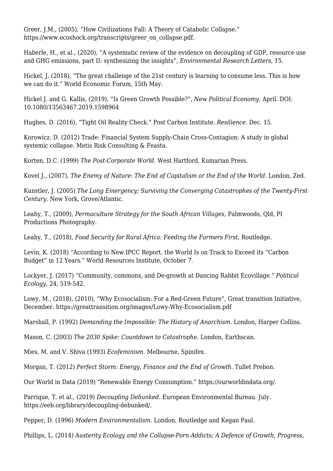Greer, J.M., (2005), "How Civilizations Fall: A Theory of Catabolic Collapse." [https://www.ecoshock.org/transcripts/greer\\_on\\_collapse.pdf](https://www.ecoshock.org/transcripts/greer_on_collapse.pdf).

Haberle, H., et al., (2020), "A systematic review of the evidence on decoupling of GDP, resource use and GHG emissions, part II: synthesizing the insights", *Environmental Research Letters*, 15.

Hickel, J. (2018), "The great challenge of the 21st century is learning to consume less. This is how we can do it." World Economic Forum, 15th May.

Hickel J. and G. Kallis, (2019), "Is Green Growth Possible?", *New Political Economy*, April. DOI: 10.1080/13563467.2019.1598964

Hughes, D. (2016), "Tight Oil Reality Check." Post Carbon Institute. *Resilience*. Dec. 15.

Korowicz, D. (2012) Trade: Financial System Supply-Chain Cross-Contagion: A study in global systemic collapse. Metis Risk Consulting & Feasta.

Korten, D.C. (1999) *The Post-Corporate World*. West Hartford, Kumarian Press.

Kovel J., (2007), *The Enemy of Nature: The End of Capitalism or the End of the World*. London, Zed.

Kunstler, J. (2005) *The Long Emergency; Surviving the Converging Catastrophes of the Twenty-First Century*. New York, Grove/Atlantic.

Leahy, T., (2009), *Permaculture Strategy for the South African Villages*, Palmwoods, Qld, PI Productions Photography.

Leahy, T., (2018), *Food Security for Rural Africa: Feeding the Farmers First*, Routledge.

Levin, K. (2018) "According to New IPCC Report, the World Is on Track to Exceed its "Carbon Budget" in 12 Years." World Resources Institute, October 7.

Lockyer, J. (2017) "Community, commons, and De-growth at Dancing Rabbit Ecovillage." *Political Ecology*, 24, 519-542.

Lowy, M., (2018), (2010), "Why Ecosocialism: For a Red-Green Future", Great transition Initiative, December. https://greattransition.org/images/Lowy-Why-Ecosocialism.pdf

Marshall, P. (1992) *Demanding the Impossible: The History of Anarchism*. London, Harper Collins.

Mason, C. (2003) *The 2030 Spike: Countdown to Catastrophe*. London, Earthscan.

Mies, M. and V. Shiva (1993) *Ecofeminism*. Melbourne, Spinifex.

Morgan, T. (2012) *Perfect Storm: Energy, Finance and the End of Growth*. Tullet Prebon.

Our World in Data (2019) "Renewable Energy Consumption." https://ourworldindata.org/.

Parrique, T. et al., (2019) *Decoupling Debunked*. European Environmental Bureau. July. https://eeb.org/library/decoupling-debunked/.

Pepper, D. (1996) *Modern Environmentalism*. London, Routledge and Kegan Paul.

Phillips, L. (2014) *Austerity Ecology and the Collapse-Porn Addicts; A Defence of Growth, Progress,*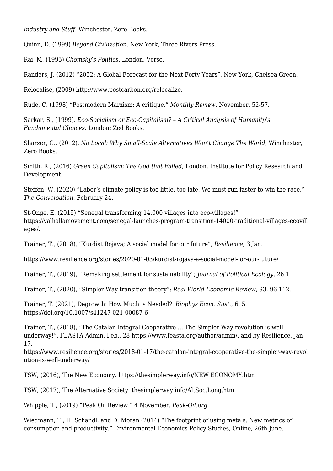*Industry and Stuff*. Winchester, Zero Books.

Quinn, D. (1999) *Beyond Civilization*. New York, Three Rivers Press.

Rai, M. (1995) *Chomsky's Politics*. London, Verso.

Randers, J. (2012) "2052: A Global Forecast for the Next Forty Years". New York, Chelsea Green.

Relocalise, (2009) http://www.postcarbon.org/relocalize.

Rude, C. (1998) "Postmodern Marxism; A critique." *Monthly Review*, November, 52-57.

Sarkar, S., (1999), *Eco-Socialism or Eco-Capitalism? – A Critical Analysis of Humanity's Fundamental Choices*. London: Zed Books.

Sharzer, G., (2012), *No Local: Why Small-Scale Alternatives Won't Change The World*, Winchester, Zero Books.

Smith, R., (2016) *Green Capitalism; The God that Failed*, London, Institute for Policy Research and Development.

Steffen, W. (2020) "Labor's climate policy is too little, too late. We must run faster to win the race." *The Conversation*. February 24.

St-Onge, E. (2015) "Senegal transforming 14,000 villages into eco-villages!" [https://valhallamovement.com/senegal-launches-program-transition-14000-traditional-villages-ecovill](https://valhallamovement.com/senegal-launches-program-transition-14000-traditional-villages-ecovillages/) [ages/.](https://valhallamovement.com/senegal-launches-program-transition-14000-traditional-villages-ecovillages/)

Trainer, T., (2018), "Kurdist Rojava; A social model for our future", *Resilience*, 3 Jan.

<https://www.resilience.org/stories/2020-01-03/kurdist-rojava-a-social-model-for-our-future/>

Trainer, T., (2019), "Remaking settlement for sustainability"; *Journal of Political Ecology*, 26.1

Trainer, T., (2020), "Simpler Way transition theory"; *Real World Economic Review*, 93, 96-112.

Trainer, T. (2021), Degrowth: How Much is Needed?. *Biophys Econ. Sust*., 6, 5. https://doi.org/10.1007/s41247-021-00087-6

Trainer, T., (2018), "The Catalan Integral Cooperative … The Simpler Way revolution is well underway!", FEASTA Admin, Feb.. 28 https://www.feasta.org/author/admin/, and by Resilience, Jan 17.

https://www.resilience.org/stories/2018-01-17/the-catalan-integral-cooperative-the-simpler-way-revol ution-is-well-underway/

TSW, (2016), The New Economy. [https://thesimplerway.info/NEW ECONOMY.htm](https://thesimplerway.info/NEW%20ECONOMY.htm)

TSW, (2017), The Alternative Society. thesimplerway.info/AltSoc.Long.htm

Whipple, T., (2019) "Peak Oil Review." 4 November. *Peak-Oil.org*.

Wiedmann, T., H. Schandl, and D. Moran (2014) "The footprint of using metals: New metrics of consumption and productivity." Environmental Economics Policy Studies, Online, 26th June.